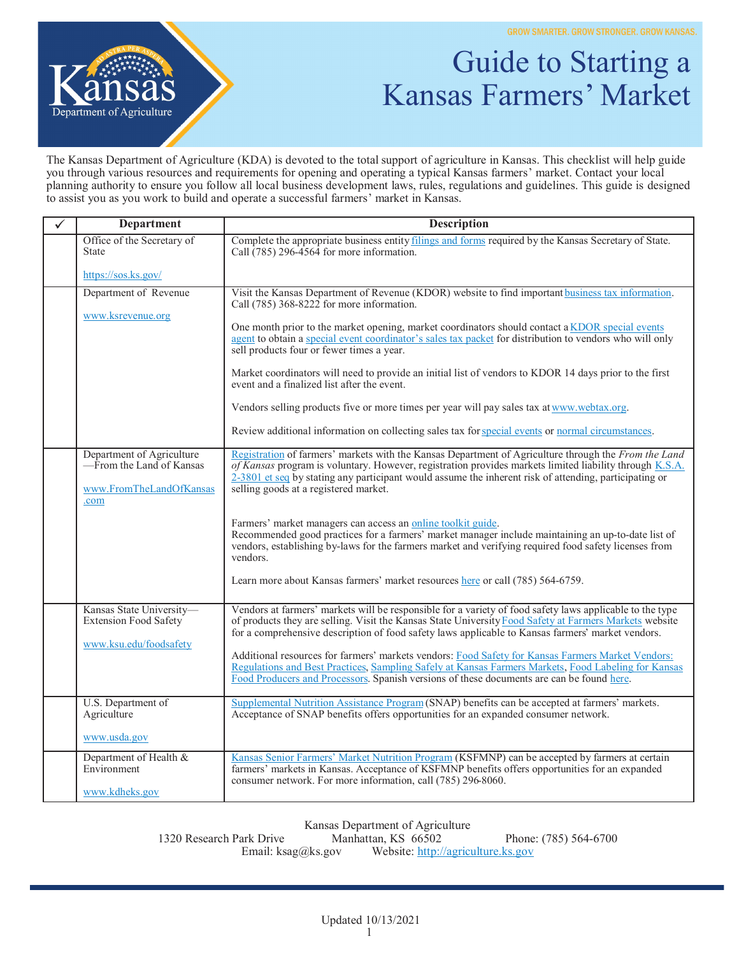

## Guide to Starting a Kansas Farmers' Market

The Kansas Department of Agriculture (KDA) is devoted to the total support of agriculture in Kansas. This checklist will help guide you through various resources and requirements for opening and operating a typical Kansas farmers' market. Contact your local planning authority to ensure you follow all local business development laws, rules, regulations and guidelines. This guide is designed to assist you as you work to build and operate a successful farmers' market in Kansas.

| $\checkmark$ | <b>Department</b>                                                                        | Description                                                                                                                                                                                                                                                                                                                                                          |
|--------------|------------------------------------------------------------------------------------------|----------------------------------------------------------------------------------------------------------------------------------------------------------------------------------------------------------------------------------------------------------------------------------------------------------------------------------------------------------------------|
|              | Office of the Secretary of<br><b>State</b>                                               | Complete the appropriate business entity filings and forms required by the Kansas Secretary of State.<br>Call $(785)$ 296-4564 for more information.                                                                                                                                                                                                                 |
|              | https://sos.ks.gov/                                                                      |                                                                                                                                                                                                                                                                                                                                                                      |
|              | Department of Revenue<br>www.ksrevenue.org                                               | Visit the Kansas Department of Revenue (KDOR) website to find important business tax information.<br>Call $(785)$ 368-8222 for more information.                                                                                                                                                                                                                     |
|              |                                                                                          | One month prior to the market opening, market coordinators should contact a KDOR special events<br>agent to obtain a special event coordinator's sales tax packet for distribution to vendors who will only<br>sell products four or fewer times a year.                                                                                                             |
|              |                                                                                          | Market coordinators will need to provide an initial list of vendors to KDOR 14 days prior to the first<br>event and a finalized list after the event.                                                                                                                                                                                                                |
|              |                                                                                          | Vendors selling products five or more times per year will pay sales tax at www.webtax.org.                                                                                                                                                                                                                                                                           |
|              |                                                                                          | Review additional information on collecting sales tax for special events or normal circumstances.                                                                                                                                                                                                                                                                    |
|              | Department of Agriculture<br>—From the Land of Kansas<br>www.FromTheLandOfKansas<br>.com | Registration of farmers' markets with the Kansas Department of Agriculture through the From the Land<br>of Kansas program is voluntary. However, registration provides markets limited liability through K.S.A.<br>$2-3801$ et seq by stating any participant would assume the inherent risk of attending, participating or<br>selling goods at a registered market. |
|              |                                                                                          | Farmers' market managers can access an online toolkit guide.<br>Recommended good practices for a farmers' market manager include maintaining an up-to-date list of<br>vendors, establishing by-laws for the farmers market and verifying required food safety licenses from<br>vendors.                                                                              |
|              |                                                                                          | Learn more about Kansas farmers' market resources here or call (785) 564-6759.                                                                                                                                                                                                                                                                                       |
|              | Kansas State University-<br>Extension Food Safety<br>www.ksu.edu/foodsafety              | Vendors at farmers' markets will be responsible for a variety of food safety laws applicable to the type<br>of products they are selling. Visit the Kansas State University Food Safety at Farmers Markets website<br>for a comprehensive description of food safety laws applicable to Kansas farmers' market vendors.                                              |
|              |                                                                                          | Additional resources for farmers' markets vendors: Food Safety for Kansas Farmers Market Vendors:<br>Regulations and Best Practices, Sampling Safely at Kansas Farmers Markets, Food Labeling for Kansas<br>Food Producers and Processors. Spanish versions of these documents are can be found here.                                                                |
|              | U.S. Department of<br>Agriculture                                                        | Supplemental Nutrition Assistance Program (SNAP) benefits can be accepted at farmers' markets.<br>Acceptance of SNAP benefits offers opportunities for an expanded consumer network.                                                                                                                                                                                 |
|              | www.usda.gov                                                                             |                                                                                                                                                                                                                                                                                                                                                                      |
|              | Department of Health &<br>Environment<br>www.kdheks.gov                                  | Kansas Senior Farmers' Market Nutrition Program (KSFMNP) can be accepted by farmers at certain<br>farmers' markets in Kansas. Acceptance of KSFMNP benefits offers opportunities for an expanded<br>consumer network. For more information, call (785) 296-8060.                                                                                                     |
|              |                                                                                          |                                                                                                                                                                                                                                                                                                                                                                      |

Kansas Department of Agriculture<br>Manhattan, KS 66502

1320 Research Park Drive Manhattan, KS 66502 Phone: (785) 564-6700 Email: ksag@ks.gov Website: [http://agriculture.ks.gov](http://agriculture.ks.gov/)